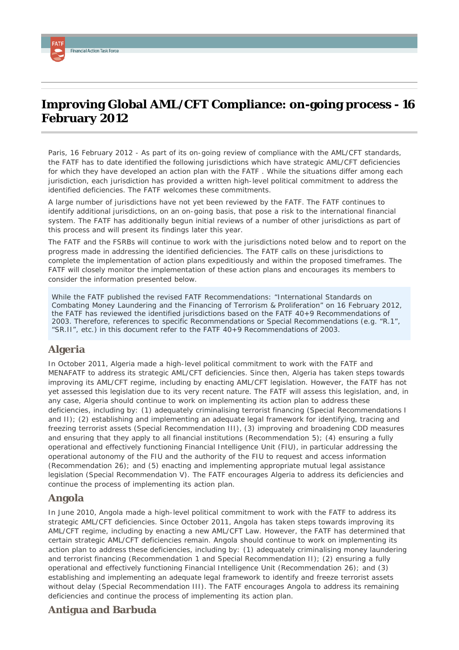# **Improving Global AML/CFT Compliance: on-going process - 16 February 2012**

*Paris, 16 February 2012* - As part of its on-going review of compliance with the AML/CFT standards, the FATF has to date identified the following jurisdictions which have strategic AML/CFT deficiencies for which they have developed an action plan with the FATF . While the situations differ among each jurisdiction, each jurisdiction has provided a written high-level political commitment to address the identified deficiencies. The FATF welcomes these commitments.

A large number of jurisdictions have not yet been reviewed by the FATF. The FATF continues to identify additional jurisdictions, on an on-going basis, that pose a risk to the international financial system. The FATF has additionally begun initial reviews of a number of other jurisdictions as part of this process and will present its findings later this year.

The FATF and the FSRBs will continue to work with the jurisdictions noted below and to report on the progress made in addressing the identified deficiencies. The FATF calls on these jurisdictions to complete the implementation of action plans expeditiously and within the proposed timeframes. The FATF will closely monitor the implementation of these action plans and encourages its members to consider the information presented below.

*While the FATF published the revised FATF Recommendations: "International Standards on Combating Money Laundering and the Financing of Terrorism & Proliferation" on 16 February 2012, the FATF has reviewed the identified jurisdictions based on the FATF 40+9 Recommendations of 2003. Therefore, references to specific Recommendations or Special Recommendations (e.g. "R.1", "SR.II", etc.) in this document refer to the FATF 40+9 Recommendations of 2003.*

#### **Algeria**

<span id="page-0-0"></span>**Financial Action Task Force** 

In October 2011, Algeria made a high-level political commitment to work with the FATF and MENAFATF to address its strategic AML/CFT deficiencies. Since then, Algeria has taken steps towards improving its AML/CFT regime, including by enacting AML/CFT legislation. However, the FATF has not yet assessed this legislation due to its very recent nature. The FATF will assess this legislation, and, in any case, Algeria should continue to work on implementing its action plan to address these deficiencies, including by: (1) adequately criminalising terrorist financing (Special Recommendations I and II); (2) establishing and implementing an adequate legal framework for identifying, tracing and freezing terrorist assets (Special Recommendation III), (3) improving and broadening CDD measures and ensuring that they apply to all financial institutions (Recommendation 5); (4) ensuring a fully operational and effectively functioning Financial Intelligence Unit (FIU), in particular addressing the operational autonomy of the FIU and the authority of the FIU to request and access information (Recommendation 26); and (5) enacting and implementing appropriate mutual legal assistance legislation (Special Recommendation V). The FATF encourages Algeria to address its deficiencies and continue the process of implementing its action plan.

#### **Angola**

In June 2010, Angola made a high-level political commitment to work with the FATF to address its strategic AML/CFT deficiencies. Since October 2011, Angola has taken steps towards improving its AML/CFT regime, including by enacting a new AML/CFT Law. However, the FATF has determined that certain strategic AML/CFT deficiencies remain. Angola should continue to work on implementing its action plan to address these deficiencies, including by: (1) adequately criminalising money laundering and terrorist financing (Recommendation 1 and Special Recommendation II); (2) ensuring a fully operational and effectively functioning Financial Intelligence Unit (Recommendation 26); and (3) establishing and implementing an adequate legal framework to identify and freeze terrorist assets without delay (Special Recommendation III). The FATF encourages Angola to address its remaining deficiencies and continue the process of implementing its action plan.

#### **Antigua and Barbuda**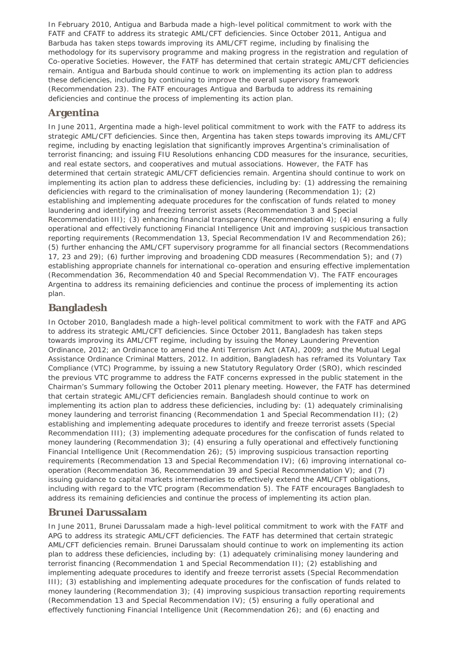In February 2010, Antigua and Barbuda made a high-level political commitment to work with the FATF and CFATF to address its strategic AML/CFT deficiencies. Since October 2011, Antigua and Barbuda has taken steps towards improving its AML/CFT regime, including by finalising the methodology for its supervisory programme and making progress in the registration and regulation of Co-operative Societies. However, the FATF has determined that certain strategic AML/CFT deficiencies remain. Antigua and Barbuda should continue to work on implementing its action plan to address these deficiencies, including by continuing to improve the overall supervisory framework (Recommendation 23). The FATF encourages Antigua and Barbuda to address its remaining deficiencies and continue the process of implementing its action plan.

## **Argentina**

In June 2011, Argentina made a high-level political commitment to work with the FATF to address its strategic AML/CFT deficiencies. Since then, Argentina has taken steps towards improving its AML/CFT regime, including by enacting legislation that significantly improves Argentina's criminalisation of terrorist financing; and issuing FIU Resolutions enhancing CDD measures for the insurance, securities, and real estate sectors, and cooperatives and mutual associations. However, the FATF has determined that certain strategic AML/CFT deficiencies remain. Argentina should continue to work on implementing its action plan to address these deficiencies, including by: (1) addressing the remaining deficiencies with regard to the criminalisation of money laundering (Recommendation 1); (2) establishing and implementing adequate procedures for the confiscation of funds related to money laundering and identifying and freezing terrorist assets (Recommendation 3 and Special Recommendation III); (3) enhancing financial transparency (Recommendation 4); (4) ensuring a fully operational and effectively functioning Financial Intelligence Unit and improving suspicious transaction reporting requirements (Recommendation 13, Special Recommendation IV and Recommendation 26); (5) further enhancing the AML/CFT supervisory programme for all financial sectors (Recommendations 17, 23 and 29); (6) further improving and broadening CDD measures (Recommendation 5); and (7) establishing appropriate channels for international co-operation and ensuring effective implementation (Recommendation 36, Recommendation 40 and Special Recommendation V). The FATF encourages Argentina to address its remaining deficiencies and continue the process of implementing its action plan.

## **Bangladesh**

In October 2010, Bangladesh made a high-level political commitment to work with the FATF and APG to address its strategic AML/CFT deficiencies. Since October 2011, Bangladesh has taken steps towards improving its AML/CFT regime, including by issuing the Money Laundering Prevention Ordinance, 2012; an Ordinance to amend the Anti Terrorism Act (ATA), 2009; and the Mutual Legal Assistance Ordinance Criminal Matters, 2012. In addition, Bangladesh has reframed its Voluntary Tax Compliance (VTC) Programme, by issuing a new Statutory Regulatory Order (SRO), which rescinded the previous VTC programme to address the FATF concerns expressed in the public statement in the Chairman's Summary following the October 2011 plenary meeting. However, the FATF has determined that certain strategic AML/CFT deficiencies remain. Bangladesh should continue to work on implementing its action plan to address these deficiencies, including by: (1) adequately criminalising money laundering and terrorist financing (Recommendation 1 and Special Recommendation II); (2) establishing and implementing adequate procedures to identify and freeze terrorist assets (Special Recommendation III); (3) implementing adequate procedures for the confiscation of funds related to money laundering (Recommendation 3); (4) ensuring a fully operational and effectively functioning Financial Intelligence Unit (Recommendation 26); (5) improving suspicious transaction reporting requirements (Recommendation 13 and Special Recommendation IV); (6) improving international cooperation (Recommendation 36, Recommendation 39 and Special Recommendation V); and (7) issuing guidance to capital markets intermediaries to effectively extend the AML/CFT obligations, including with regard to the VTC program (Recommendation 5). The FATF encourages Bangladesh to address its remaining deficiencies and continue the process of implementing its action plan.

#### **Brunei Darussalam**

In June 2011, Brunei Darussalam made a high-level political commitment to work with the FATF and APG to address its strategic AML/CFT deficiencies. The FATF has determined that certain strategic AML/CFT deficiencies remain. Brunei Darussalam should continue to work on implementing its action plan to address these deficiencies, including by: (1) adequately criminalising money laundering and terrorist financing (Recommendation 1 and Special Recommendation II); (2) establishing and implementing adequate procedures to identify and freeze terrorist assets (Special Recommendation III); (3) establishing and implementing adequate procedures for the confiscation of funds related to money laundering (Recommendation 3); (4) improving suspicious transaction reporting requirements (Recommendation 13 and Special Recommendation IV); (5) ensuring a fully operational and effectively functioning Financial Intelligence Unit (Recommendation 26); and (6) enacting and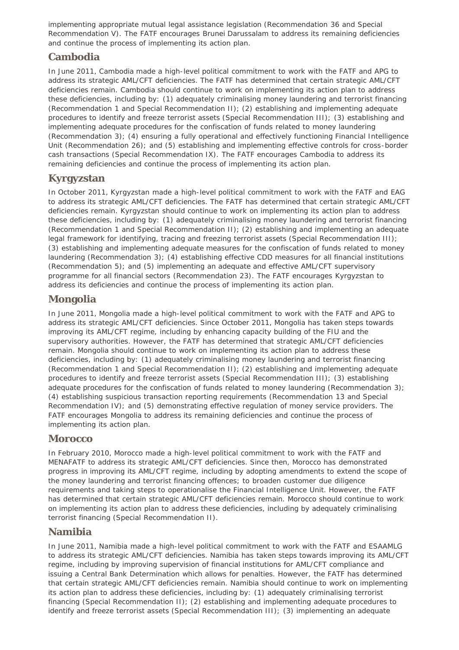implementing appropriate mutual legal assistance legislation (Recommendation 36 and Special Recommendation V). The FATF encourages Brunei Darussalam to address its remaining deficiencies and continue the process of implementing its action plan.

## **Cambodia**

In June 2011, Cambodia made a high-level political commitment to work with the FATF and APG to address its strategic AML/CFT deficiencies. The FATF has determined that certain strategic AML/CFT deficiencies remain. Cambodia should continue to work on implementing its action plan to address these deficiencies, including by: (1) adequately criminalising money laundering and terrorist financing (Recommendation 1 and Special Recommendation II); (2) establishing and implementing adequate procedures to identify and freeze terrorist assets (Special Recommendation III); (3) establishing and implementing adequate procedures for the confiscation of funds related to money laundering (Recommendation 3); (4) ensuring a fully operational and effectively functioning Financial Intelligence Unit (Recommendation 26); and (5) establishing and implementing effective controls for cross-border cash transactions (Special Recommendation IX). The FATF encourages Cambodia to address its remaining deficiencies and continue the process of implementing its action plan.

## **Kyrgyzstan**

In October 2011, Kyrgyzstan made a high-level political commitment to work with the FATF and EAG to address its strategic AML/CFT deficiencies. The FATF has determined that certain strategic AML/CFT deficiencies remain. Kyrgyzstan should continue to work on implementing its action plan to address these deficiencies, including by: (1) adequately criminalising money laundering and terrorist financing (Recommendation 1 and Special Recommendation II); (2) establishing and implementing an adequate legal framework for identifying, tracing and freezing terrorist assets (Special Recommendation III); (3) establishing and implementing adequate measures for the confiscation of funds related to money laundering (Recommendation 3); (4) establishing effective CDD measures for all financial institutions (Recommendation 5); and (5) implementing an adequate and effective AML/CFT supervisory programme for all financial sectors (Recommendation 23). The FATF encourages Kyrgyzstan to address its deficiencies and continue the process of implementing its action plan.

## **Mongolia**

In June 2011, Mongolia made a high-level political commitment to work with the FATF and APG to address its strategic AML/CFT deficiencies. Since October 2011, Mongolia has taken steps towards improving its AML/CFT regime, including by enhancing capacity building of the FIU and the supervisory authorities. However, the FATF has determined that strategic AML/CFT deficiencies remain. Mongolia should continue to work on implementing its action plan to address these deficiencies, including by: (1) adequately criminalising money laundering and terrorist financing (Recommendation 1 and Special Recommendation II); (2) establishing and implementing adequate procedures to identify and freeze terrorist assets (Special Recommendation III); (3) establishing adequate procedures for the confiscation of funds related to money laundering (Recommendation 3); (4) establishing suspicious transaction reporting requirements (Recommendation 13 and Special Recommendation IV); and (5) demonstrating effective regulation of money service providers. The FATF encourages Mongolia to address its remaining deficiencies and continue the process of implementing its action plan.

## **Morocco**

In February 2010, Morocco made a high-level political commitment to work with the FATF and MENAFATF to address its strategic AML/CFT deficiencies. Since then, Morocco has demonstrated progress in improving its AML/CFT regime, including by adopting amendments to extend the scope of the money laundering and terrorist financing offences; to broaden customer due diligence requirements and taking steps to operationalise the Financial Intelligence Unit. However, the FATF has determined that certain strategic AML/CFT deficiencies remain. Morocco should continue to work on implementing its action plan to address these deficiencies, including by adequately criminalising terrorist financing (Special Recommendation II).

## **Namibia**

In June 2011, Namibia made a high-level political commitment to work with the FATF and ESAAMLG to address its strategic AML/CFT deficiencies. Namibia has taken steps towards improving its AML/CFT regime, including by improving supervision of financial institutions for AML/CFT compliance and issuing a Central Bank Determination which allows for penalties. However, the FATF has determined that certain strategic AML/CFT deficiencies remain. Namibia should continue to work on implementing its action plan to address these deficiencies, including by: (1) adequately criminalising terrorist financing (Special Recommendation II); (2) establishing and implementing adequate procedures to identify and freeze terrorist assets (Special Recommendation III); (3) implementing an adequate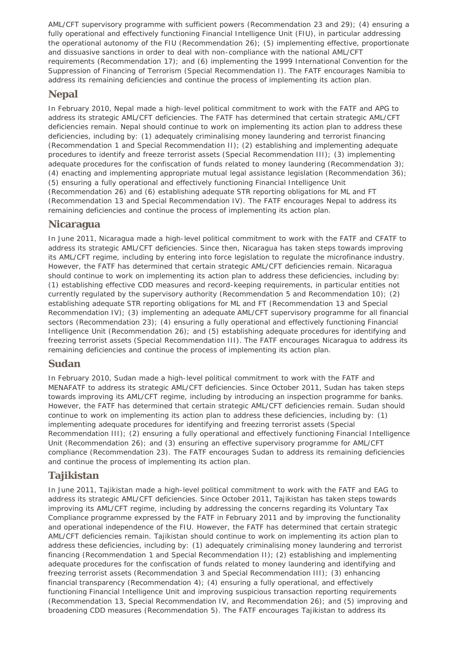AML/CFT supervisory programme with sufficient powers (Recommendation 23 and 29); (4) ensuring a fully operational and effectively functioning Financial Intelligence Unit (FIU), in particular addressing the operational autonomy of the FIU (Recommendation 26); (5) implementing effective, proportionate and dissuasive sanctions in order to deal with non-compliance with the national AML/CFT requirements (Recommendation 17); and (6) implementing the 1999 International Convention for the Suppression of Financing of Terrorism (Special Recommendation I). The FATF encourages Namibia to address its remaining deficiencies and continue the process of implementing its action plan.

#### **Nepal**

In February 2010, Nepal made a high-level political commitment to work with the FATF and APG to address its strategic AML/CFT deficiencies. The FATF has determined that certain strategic AML/CFT deficiencies remain. Nepal should continue to work on implementing its action plan to address these deficiencies, including by: (1) adequately criminalising money laundering and terrorist financing (Recommendation 1 and Special Recommendation II); (2) establishing and implementing adequate procedures to identify and freeze terrorist assets (Special Recommendation III); (3) implementing adequate procedures for the confiscation of funds related to money laundering (Recommendation 3); (4) enacting and implementing appropriate mutual legal assistance legislation (Recommendation 36); (5) ensuring a fully operational and effectively functioning Financial Intelligence Unit (Recommendation 26) and (6) establishing adequate STR reporting obligations for ML and FT (Recommendation 13 and Special Recommendation IV). The FATF encourages Nepal to address its remaining deficiencies and continue the process of implementing its action plan.

### **Nicaragua**

In June 2011, Nicaragua made a high-level political commitment to work with the FATF and CFATF to address its strategic AML/CFT deficiencies. Since then, Nicaragua has taken steps towards improving its AML/CFT regime, including by entering into force legislation to regulate the microfinance industry. However, the FATF has determined that certain strategic AML/CFT deficiencies remain. Nicaragua should continue to work on implementing its action plan to address these deficiencies, including by: (1) establishing effective CDD measures and record-keeping requirements, in particular entities not currently regulated by the supervisory authority (Recommendation 5 and Recommendation 10); (2) establishing adequate STR reporting obligations for ML and FT (Recommendation 13 and Special Recommendation IV); (3) implementing an adequate AML/CFT supervisory programme for all financial sectors (Recommendation 23); (4) ensuring a fully operational and effectively functioning Financial Intelligence Unit (Recommendation 26); and (5) establishing adequate procedures for identifying and freezing terrorist assets (Special Recommendation III). The FATF encourages Nicaragua to address its remaining deficiencies and continue the process of implementing its action plan.

#### **Sudan**

In February 2010, Sudan made a high-level political commitment to work with the FATF and MENAFATF to address its strategic AML/CFT deficiencies. Since October 2011, Sudan has taken steps towards improving its AML/CFT regime, including by introducing an inspection programme for banks. However, the FATF has determined that certain strategic AML/CFT deficiencies remain. Sudan should continue to work on implementing its action plan to address these deficiencies, including by: (1) implementing adequate procedures for identifying and freezing terrorist assets (Special Recommendation III); (2) ensuring a fully operational and effectively functioning Financial Intelligence Unit (Recommendation 26); and (3) ensuring an effective supervisory programme for AML/CFT compliance (Recommendation 23). The FATF encourages Sudan to address its remaining deficiencies and continue the process of implementing its action plan.

## **Tajikistan**

In June 2011, Tajikistan made a high-level political commitment to work with the FATF and EAG to address its strategic AML/CFT deficiencies. Since October 2011, Tajikistan has taken steps towards improving its AML/CFT regime, including by addressing the concerns regarding its Voluntary Tax Compliance programme expressed by the FATF in February 2011 and by improving the functionality and operational independence of the FIU. However, the FATF has determined that certain strategic AML/CFT deficiencies remain. Tajikistan should continue to work on implementing its action plan to address these deficiencies, including by: (1) adequately criminalising money laundering and terrorist financing (Recommendation 1 and Special Recommendation II); (2) establishing and implementing adequate procedures for the confiscation of funds related to money laundering and identifying and freezing terrorist assets (Recommendation 3 and Special Recommendation III); (3) enhancing financial transparency (Recommendation 4); (4) ensuring a fully operational, and effectively functioning Financial Intelligence Unit and improving suspicious transaction reporting requirements (Recommendation 13, Special Recommendation IV, and Recommendation 26); and (5) improving and broadening CDD measures (Recommendation 5). The FATF encourages Tajikistan to address its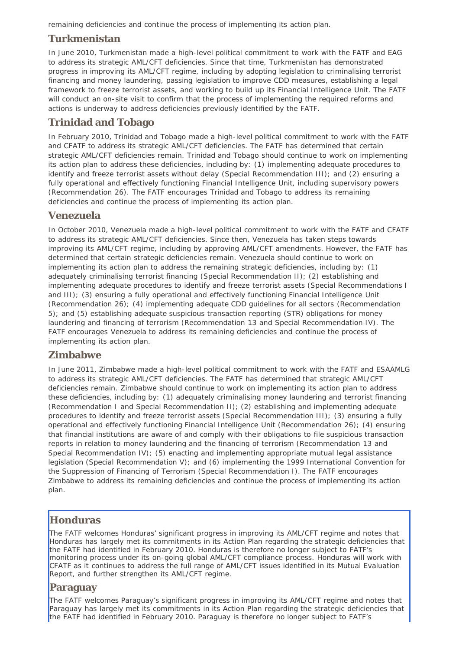remaining deficiencies and continue the process of implementing its action plan.

#### **Turkmenistan**

In June 2010, Turkmenistan made a high-level political commitment to work with the FATF and EAG to address its strategic AML/CFT deficiencies. Since that time, Turkmenistan has demonstrated progress in improving its AML/CFT regime, including by adopting legislation to criminalising terrorist financing and money laundering, passing legislation to improve CDD measures, establishing a legal framework to freeze terrorist assets, and working to build up its Financial Intelligence Unit. The FATF will conduct an on-site visit to confirm that the process of implementing the required reforms and actions is underway to address deficiencies previously identified by the FATF.

## **Trinidad and Tobago**

In February 2010, Trinidad and Tobago made a high-level political commitment to work with the FATF and CFATF to address its strategic AML/CFT deficiencies. The FATF has determined that certain strategic AML/CFT deficiencies remain. Trinidad and Tobago should continue to work on implementing its action plan to address these deficiencies, including by: (1) implementing adequate procedures to identify and freeze terrorist assets without delay (Special Recommendation III); and (2) ensuring a fully operational and effectively functioning Financial Intelligence Unit, including supervisory powers (Recommendation 26). The FATF encourages Trinidad and Tobago to address its remaining deficiencies and continue the process of implementing its action plan.

#### **Venezuela**

In October 2010, Venezuela made a high-level political commitment to work with the FATF and CFATF to address its strategic AML/CFT deficiencies. Since then, Venezuela has taken steps towards improving its AML/CFT regime, including by approving AML/CFT amendments. However, the FATF has determined that certain strategic deficiencies remain. Venezuela should continue to work on implementing its action plan to address the remaining strategic deficiencies, including by: (1) adequately criminalising terrorist financing (Special Recommendation II); (2) establishing and implementing adequate procedures to identify and freeze terrorist assets (Special Recommendations I and III); (3) ensuring a fully operational and effectively functioning Financial Intelligence Unit (Recommendation 26); (4) implementing adequate CDD guidelines for all sectors (Recommendation 5); and (5) establishing adequate suspicious transaction reporting (STR) obligations for money laundering and financing of terrorism (Recommendation 13 and Special Recommendation IV). The FATF encourages Venezuela to address its remaining deficiencies and continue the process of implementing its action plan.

#### **Zimbabwe**

In June 2011, Zimbabwe made a high-level political commitment to work with the FATF and ESAAMLG to address its strategic AML/CFT deficiencies. The FATF has determined that strategic AML/CFT deficiencies remain. Zimbabwe should continue to work on implementing its action plan to address these deficiencies, including by: (1) adequately criminalising money laundering and terrorist financing (Recommendation I and Special Recommendation II); (2) establishing and implementing adequate procedures to identify and freeze terrorist assets (Special Recommendation III); (3) ensuring a fully operational and effectively functioning Financial Intelligence Unit (Recommendation 26); (4) ensuring that financial institutions are aware of and comply with their obligations to file suspicious transaction reports in relation to money laundering and the financing of terrorism (Recommendation 13 and Special Recommendation IV); (5) enacting and implementing appropriate mutual legal assistance legislation (Special Recommendation V); and (6) implementing the 1999 International Convention for the Suppression of Financing of Terrorism (Special Recommendation I). The FATF encourages Zimbabwe to address its remaining deficiencies and continue the process of implementing its action plan.

#### **Honduras**

The FATF welcomes Honduras' significant progress in improving its AML/CFT regime and notes that Honduras has largely met its commitments in its Action Plan regarding the strategic deficiencies that the FATF had identified in February 2010. Honduras is therefore no longer subject to FATF's monitoring process under its on-going global AML/CFT compliance process. Honduras will work with CFATF as it continues to address the full range of AML/CFT issues identified in its Mutual Evaluation Report, and further strengthen its AML/CFT regime.

#### **Paraguay**

The FATF welcomes Paraguay's significant progress in improving its AML/CFT regime and notes that Paraguay has largely met its commitments in its Action Plan regarding the strategic deficiencies that the FATF had identified in February 2010. Paraguay is therefore no longer subject to FATF's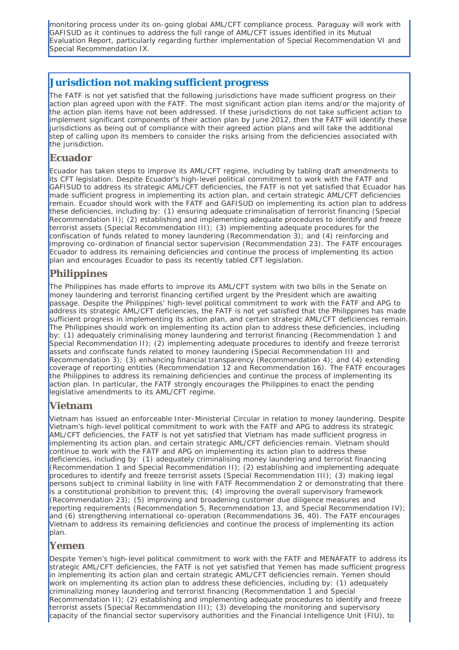monitoring process under its on-going global AML/CFT compliance process. Paraguay will work with GAFISUD as it continues to address the full range of AML/CFT issues identified in its Mutual Evaluation Report, particularly regarding further implementation of Special Recommendation VI and Special Recommendation IX.

### **Jurisdiction not making sufficient progress**

The FATF is not yet satisfied that the following jurisdictions have made sufficient progress on their action plan agreed upon with the FATF. The most significant action plan items and/or the majority of the action plan items have not been addressed. If these jurisdictions do not take sufficient action to implement significant components of their action plan by June 2012, then the FATF will identify these jurisdictions as being out of compliance with their agreed action plans and will take the additional step of calling upon its members to consider the risks arising from the deficiencies associated with the jurisdiction.

#### **Ecuador**

Ecuador has taken steps to improve its AML/CFT regime, including by tabling draft amendments to its CFT legislation. Despite Ecuador's high-level political commitment to work with the FATF and GAFISUD to address its strategic AML/CFT deficiencies, the FATF is not yet satisfied that Ecuador has made sufficient progress in implementing its action plan, and certain strategic AML/CFT deficiencies remain. Ecuador should work with the FATF and GAFISUD on implementing its action plan to address these deficiencies, including by: (1) ensuring adequate criminalisation of terrorist financing (Special Recommendation II); (2) establishing and implementing adequate procedures to identify and freeze terrorist assets (Special Recommendation III); (3) implementing adequate procedures for the confiscation of funds related to money laundering (Recommendation 3); and (4) reinforcing and improving co-ordination of financial sector supervision (Recommendation 23). The FATF encourages Ecuador to address its remaining deficiencies and continue the process of implementing its action plan and encourages Ecuador to pass its recently tabled CFT legislation.

## **Philippines**

The Philippines has made efforts to improve its AML/CFT system with two bills in the Senate on money laundering and terrorist financing certified urgent by the President which are awaiting passage. Despite the Philippines' high-level political commitment to work with the FATF and APG to address its strategic AML/CFT deficiencies, the FATF is not yet satisfied that the Philippines has made sufficient progress in implementing its action plan, and certain strategic AML/CFT deficiencies remain. The Philippines should work on implementing its action plan to address these deficiencies, including by: (1) adequately criminalising money laundering and terrorist financing (Recommendation 1 and Special Recommendation II); (2) implementing adequate procedures to identify and freeze terrorist assets and confiscate funds related to money laundering (Special Recommendation III and Recommendation 3); (3) enhancing financial transparency (Recommendation 4); and (4) extending coverage of reporting entities (Recommendation 12 and Recommendation 16). The FATF encourages the Philippines to address its remaining deficiencies and continue the process of implementing its action plan. In particular, the FATF strongly encourages the Philippines to enact the pending legislative amendments to its AML/CFT regime.

#### **Vietnam**

Vietnam has issued an enforceable Inter-Ministerial Circular in relation to money laundering. Despite Vietnam's high-level political commitment to work with the FATF and APG to address its strategic AML/CFT deficiencies, the FATF is not yet satisfied that Vietnam has made sufficient progress in implementing its action plan, and certain strategic AML/CFT deficiencies remain. Vietnam should continue to work with the FATF and APG on implementing its action plan to address these deficiencies, including by: (1) adequately criminalising money laundering and terrorist financing (Recommendation 1 and Special Recommendation II); (2) establishing and implementing adequate procedures to identify and freeze terrorist assets (Special Recommendation III); (3) making legal persons subject to criminal liability in line with FATF Recommendation 2 or demonstrating that there .<br>is a constitutional prohibition to prevent this; (4) improving the overall supervisory framework (Recommendation 23); (5) improving and broadening customer due diligence measures and reporting requirements (Recommendation 5, Recommendation 13, and Special Recommendation IV); and (6) strengthening international co-operation (Recommendations 36, 40). The FATF encourages Vietnam to address its remaining deficiencies and continue the process of implementing its action plan.

#### **Yemen**

Despite Yemen's high-level political commitment to work with the FATF and MENAFATF to address its strategic AML/CFT deficiencies, the FATF is not yet satisfied that Yemen has made sufficient progress in implementing its action plan and certain strategic AML/CFT deficiencies remain. Yemen should work on implementing its action plan to address these deficiencies, including by: (1) adequately criminalizing money laundering and terrorist financing (Recommendation 1 and Special Recommendation II); (2) establishing and implementing adequate procedures to identify and freeze terrorist assets (Special Recommendation III); (3) developing the monitoring and supervisory capacity of the financial sector supervisory authorities and the Financial Intelligence Unit (FIU), to